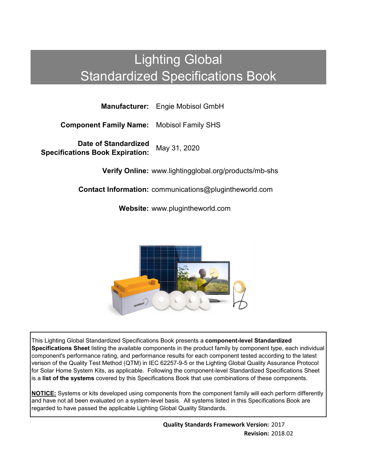# Lighting Global Standardized Specifications Book

**Manufacturer:** Engie Mobisol GmbH

**Component Family Name:** Mobisol Family SHS

**Date of Standardized Specifications Book Expiration:** May 31, 2020

**Verify Online:** www.lightingglobal.org/products/mb-shs

**Contact Information:** communications@plugintheworld.com

**Website:** www.plugintheworld.com



This Lighting Global Standardized Specifications Book presents a **component-level Standardized Specifications Sheet** listing the available components in the product family by component type, each individual component's performance rating, and performance results for each component tested according to the latest verison of the Quality Test Method (QTM) in IEC 62257-9-5 or the Lighting Global Quality Assurance Protocol for Solar Home System Kits, as applicable. Following the component-level Standardized Specifications Sheet is a **list of the systems** covered by this Specifications Book that use combinations of these components.

**NOTICE:** Systems or kits developed using components from the component family will each perform differently and have not all been evaluated on a system-level basis. All systems listed in this Specifications Book are regarded to have passed the applicable Lighting Global Quality Standards.

> **Quality Standards Framework Version:** 2017 **Revision:** 2018.02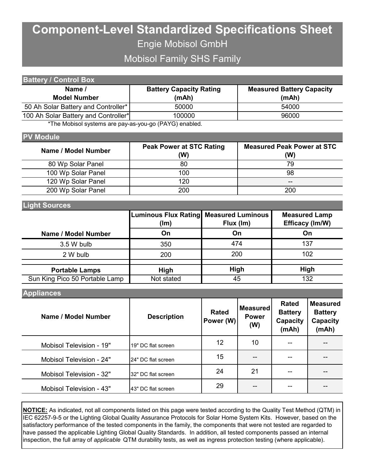## **Component-Level Standardized Specifications Sheet** Engie Mobisol GmbH

Mobisol Family SHS Family

| <b>Battery / Control Box</b>                                                                                                                                                                                                    |                                |                                  |
|---------------------------------------------------------------------------------------------------------------------------------------------------------------------------------------------------------------------------------|--------------------------------|----------------------------------|
| Name /                                                                                                                                                                                                                          | <b>Battery Capacity Rating</b> | <b>Measured Battery Capacity</b> |
| <b>Model Number</b>                                                                                                                                                                                                             | (mAh)                          | (mAh)                            |
| 50 Ah Solar Battery and Controller*                                                                                                                                                                                             | 50000                          | 54000                            |
| 100 Ah Solar Battery and Controller*                                                                                                                                                                                            | 100000                         | 96000                            |
| $\star$ the matrix of the set of the set of the set of the set of the set of the set of the set of the set of the set of the set of the set of the set of the set of the set of the set of the set of the set of the set of the |                                |                                  |

The Mobisol systems are pay-as-you-go (PAYG) enabled.

#### **PV Module**

| Name / Model Number | <b>Peak Power at STC Rating</b><br>(W) | <b>Measured Peak Power at STC</b><br>(W) |
|---------------------|----------------------------------------|------------------------------------------|
| 80 Wp Solar Panel   | 80                                     | 79                                       |
| 100 Wp Solar Panel  | 100                                    | 98                                       |
| 120 Wp Solar Panel  | 120                                    | --                                       |
| 200 Wp Solar Panel  | 200                                    | 200                                      |

### **Light Sources**

|                                | <b>Luminous Flux Rating Measured Luminous</b><br>Flux (Im)<br>(lm) |             | <b>Measured Lamp</b><br>Efficacy (Im/W) |
|--------------------------------|--------------------------------------------------------------------|-------------|-----------------------------------------|
| Name / Model Number            | On                                                                 | On          | On                                      |
| 3.5 W bulb                     | 350                                                                | 474         | 137                                     |
| 2 W bulb                       | 200                                                                | 200         | 102                                     |
|                                |                                                                    |             |                                         |
| <b>Portable Lamps</b>          | <b>High</b>                                                        | <b>High</b> | <b>High</b>                             |
| Sun King Pico 50 Portable Lamp | Not stated                                                         | 45          | 132                                     |

#### **Appliances**

| Name / Model Number      | <b>Description</b> | <b>Rated</b><br>Power (W) | <b>Measured</b><br><b>Power</b><br>(W) | <b>Rated</b><br><b>Battery</b><br>Capacity<br>(mAh) | <b>Measured</b><br><b>Battery</b><br>Capacity<br>(mAh) |  |
|--------------------------|--------------------|---------------------------|----------------------------------------|-----------------------------------------------------|--------------------------------------------------------|--|
| Mobisol Television - 19" | 19" DC flat screen | 12                        | 10                                     | --                                                  |                                                        |  |
| Mobisol Television - 24" | 24" DC flat screen | 15                        |                                        |                                                     |                                                        |  |
| Mobisol Television - 32" | 32" DC flat screen | 24                        | 21                                     |                                                     |                                                        |  |
| Mobisol Television - 43" | 43" DC flat screen | 29                        | --                                     | --                                                  |                                                        |  |

**NOTICE:** As indicated, not all components listed on this page were tested according to the Quality Test Method (QTM) in IEC 62257-9-5 or the Lighting Global Quality Assurance Protocols for Solar Home System Kits. However, based on the satisfactory performance of the tested components in the family, the components that were not tested are regarded to have passed the applicable Lighting Global Quality Standards. In addition, all tested components passed an internal inspection, the full array of *applicable* QTM durability tests, as well as ingress protection testing (where applicable).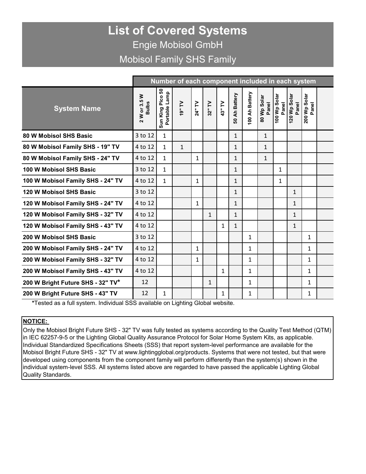### **List of Covered Systems** Engie Mobisol GmbH Mobisol Family SHS Family

|                                   | Number of each component included in each system |                                   |                   |              |              |              |                 |                                       |                      |                       |                       |                           |  |
|-----------------------------------|--------------------------------------------------|-----------------------------------|-------------------|--------------|--------------|--------------|-----------------|---------------------------------------|----------------------|-----------------------|-----------------------|---------------------------|--|
| <b>System Name</b>                | 2 W or 3.5 W<br><b>Bulbs</b>                     | Sun King Pico 50<br>Portable Lamp | $\overline{M}$ .6 | 24" TV       | 32" TV       | 43" TV       | Ah Battery<br>ន | Ah Battery<br>$\overline{\mathbf{e}}$ | 80 Wp Solar<br>Panel | 100 Wp Solar<br>Panel | 120 Wp Solar<br>Panel | 200 Wp Solar<br>್<br>Pano |  |
| 80 W Mobisol SHS Basic            | 3 to 12                                          | $\mathbf{1}$                      |                   |              |              |              | $\mathbf{1}$    |                                       | $\mathbf{1}$         |                       |                       |                           |  |
| 80 W Mobisol Family SHS - 19" TV  | 4 to 12                                          | $\mathbf{1}$                      | $\mathbf{1}$      |              |              |              | $\mathbf{1}$    |                                       | $\mathbf{1}$         |                       |                       |                           |  |
| 80 W Mobisol Family SHS - 24" TV  | 4 to 12                                          | $\mathbf{1}$                      |                   | $\mathbf{1}$ |              |              | $\mathbf{1}$    |                                       | $\mathbf{1}$         |                       |                       |                           |  |
| 100 W Mobisol SHS Basic           | 3 to 12                                          | $\mathbf{1}$                      |                   |              |              |              | $\mathbf{1}$    |                                       |                      | 1                     |                       |                           |  |
| 100 W Mobisol Family SHS - 24" TV | 4 to 12                                          | $\mathbf{1}$                      |                   | 1            |              |              | $\mathbf{1}$    |                                       |                      | 1                     |                       |                           |  |
| 120 W Mobisol SHS Basic           | 3 to 12                                          |                                   |                   |              |              |              | $\mathbf{1}$    |                                       |                      |                       | $\mathbf{1}$          |                           |  |
| 120 W Mobisol Family SHS - 24" TV | 4 to 12                                          |                                   |                   | 1            |              |              | $\mathbf{1}$    |                                       |                      |                       | 1                     |                           |  |
| 120 W Mobisol Family SHS - 32" TV | 4 to 12                                          |                                   |                   |              | $\mathbf{1}$ |              | $\mathbf{1}$    |                                       |                      |                       | $\mathbf{1}$          |                           |  |
| 120 W Mobisol Family SHS - 43" TV | 4 to 12                                          |                                   |                   |              |              | $\mathbf{1}$ | $\mathbf{1}$    |                                       |                      |                       | $\mathbf{1}$          |                           |  |
| 200 W Mobisol SHS Basic           | 3 to 12                                          |                                   |                   |              |              |              |                 | $\mathbf{1}$                          |                      |                       |                       | $\mathbf{1}$              |  |
| 200 W Mobisol Family SHS - 24" TV | 4 to 12                                          |                                   |                   | $\mathbf{1}$ |              |              |                 | 1                                     |                      |                       |                       | $\mathbf{1}$              |  |
| 200 W Mobisol Family SHS - 32" TV | 4 to 12                                          |                                   |                   | 1            |              |              |                 | $\mathbf{1}$                          |                      |                       |                       | $\mathbf{1}$              |  |
| 200 W Mobisol Family SHS - 43" TV | 4 to 12                                          |                                   |                   |              |              | 1            |                 | $\mathbf{1}$                          |                      |                       |                       | $\mathbf{1}$              |  |
| 200 W Bright Future SHS - 32" TV* | 12                                               |                                   |                   |              | $\mathbf{1}$ |              |                 | 1                                     |                      |                       |                       | 1                         |  |
| 200 W Bright Future SHS - 43" TV  | 12                                               | 1                                 |                   |              |              | 1            |                 | 1                                     |                      |                       |                       | 1                         |  |

**\***Tested as a full system. Individual SSS available on Lighting Global website.

### **NOTICE:**

Only the Mobisol Bright Future SHS - 32" TV was fully tested as systems according to the Quality Test Method (QTM) in IEC 62257-9-5 or the Lighting Global Quality Assurance Protocol for Solar Home System Kits, as applicable. Individual Standardized Specifications Sheets (SSS) that report system-level performance are available for the Mobisol Bright Future SHS - 32" TV at www.lightingglobal.org/products. Systems that were not tested, but that were developed using components from the component family will perform differently than the system(s) shown in the individual system-level SSS. All systems listed above are regarded to have passed the applicable Lighting Global Quality Standards.